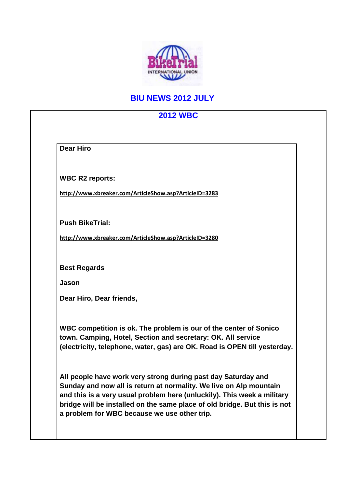

## **BIU NEWS 2012 JULY**

## **2012 WBC Dear Hiro WBC R2 reports: http://www.xbreaker.com/ArticleShow.asp?ArticleID=3283 Push BikeTrial: http://www.xbreaker.com/ArticleShow.asp?ArticleID=3280 Best Regards Jason Dear Hiro, Dear friends, WBC competition is ok. The problem is our of the center of Sonico town. Camping, Hotel, Section and secretary: OK. All service (electricity, telephone, water, gas) are OK. Road is OPEN till yesterday. All people have work very strong during past day Saturday and Sunday and now all is return at normality. We live on Alp mountain and this is a very usual problem here (unluckily). This week a military bridge will be installed on the same place of old bridge. But this is not a problem for WBC because we use other trip.**